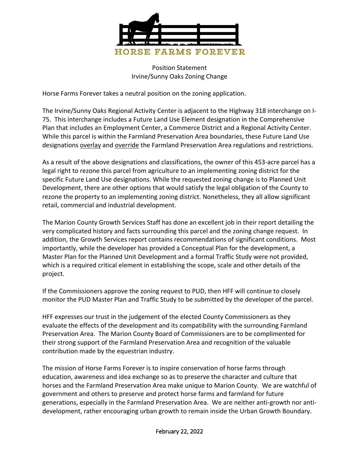

Position Statement Irvine/Sunny Oaks Zoning Change

Horse Farms Forever takes a neutral position on the zoning application.

The Irvine/Sunny Oaks Regional Activity Center is adjacent to the Highway 318 interchange on I-75. This interchange includes a Future Land Use Element designation in the Comprehensive Plan that includes an Employment Center, a Commerce District and a Regional Activity Center. While this parcel is within the Farmland Preservation Area boundaries, these Future Land Use designations overlay and override the Farmland Preservation Area regulations and restrictions.

As a result of the above designations and classifications, the owner of this 453-acre parcel has a legal right to rezone this parcel from agriculture to an implementing zoning district for the specific Future Land Use designations. While the requested zoning change is to Planned Unit Development, there are other options that would satisfy the legal obligation of the County to rezone the property to an implementing zoning district. Nonetheless, they all allow significant retail, commercial and industrial development.

The Marion County Growth Services Staff has done an excellent job in their report detailing the very complicated history and facts surrounding this parcel and the zoning change request. In addition, the Growth Services report contains recommendations of significant conditions. Most importantly, while the developer has provided a Conceptual Plan for the development, a Master Plan for the Planned Unit Development and a formal Traffic Study were not provided, which is a required critical element in establishing the scope, scale and other details of the project.

If the Commissioners approve the zoning request to PUD, then HFF will continue to closely monitor the PUD Master Plan and Traffic Study to be submitted by the developer of the parcel.

HFF expresses our trust in the judgement of the elected County Commissioners as they evaluate the effects of the development and its compatibility with the surrounding Farmland Preservation Area. The Marion County Board of Commissioners are to be complimented for their strong support of the Farmland Preservation Area and recognition of the valuable contribution made by the equestrian industry.

The mission of Horse Farms Forever is to inspire conservation of horse farms through education, awareness and idea exchange so as to preserve the character and culture that horses and the Farmland Preservation Area make unique to Marion County. We are watchful of government and others to preserve and protect horse farms and farmland for future generations, especially in the Farmland Preservation Area. We are neither anti-growth nor antidevelopment, rather encouraging urban growth to remain inside the Urban Growth Boundary.